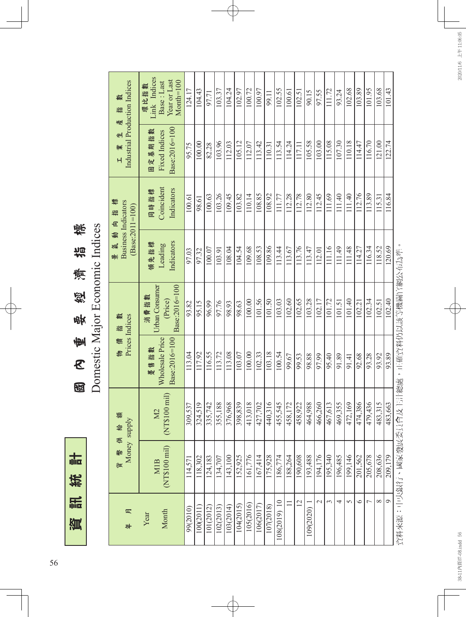志 資訊統計 統 調 資

描稿 Domestic Major Economic Indices 國 內 重 要 經 濟 指 標 Domestic Major Economic Indices 德 經 **usp**  $\frac{1}{2}$  $\mathcal{E}$  $\mathbb{Z}$ 

| Money supply         |                                                 | Prices Indices<br>物價指                    |                                                    | $(Base: 2011 = 100)$          | <b>Business Indicators</b>       | Industrial Production Indices            | 描<br>產                                                             |
|----------------------|-------------------------------------------------|------------------------------------------|----------------------------------------------------|-------------------------------|----------------------------------|------------------------------------------|--------------------------------------------------------------------|
| (NT\$100 mil)<br>MIB | (NT\$100 mil)<br>M <sub>2</sub>                 | Wholesale Price<br>Base:2016=100<br>遭售指數 | Urban Consumer<br>Base:2016=100<br>消費指數<br>(Price) | Indicators<br>領先指標<br>Leading | Coincident<br>Indicators<br>同時指標 | Base:2016=100<br>固定基期指數<br>Fixed Indices | Link Indices<br>Year or Last<br>$Month=100$<br>Base : Last<br>環比指數 |
| 114,571              | 309,537                                         | 113.04                                   | 93.82                                              | 97.03                         | 100.61                           | 95.75                                    | 124.17                                                             |
| 118,302              | 324,519                                         | 117.92                                   | 95.15                                              | 97.32                         | 98.61                            | 100.00                                   | 104.43                                                             |
| 124,183              | 335,742                                         | 116.55                                   | 96.99                                              | 100.07                        | 100.63                           | 82.28                                    | 97.71                                                              |
| 134,707              | 355,188                                         | 113.72                                   | 97.76                                              | 103.91                        | 103.26                           | 103.96                                   | 103.37                                                             |
| 143,100              | 376,968                                         | 113.08                                   | 98.93                                              | 108.04                        | 109.45                           | 112.03                                   | 104.24                                                             |
| 152,925              | $\overline{\phantom{1}83}$<br>$\frac{398.8}{5}$ | 103.07                                   | 98.63                                              | 104.54                        | 103.82                           | 105.12                                   | 102.97                                                             |
| 161,776              | 018<br>413,                                     | 100.00                                   | 100.00                                             | 109.68                        | 110.14                           | 112.07                                   | 100.72                                                             |
| 167,414              | 427,702                                         | 102.33                                   | 101.56                                             | 108.53                        | 108.85                           | 113.42                                   | 100.97                                                             |
| 175,928              | 440,316                                         | 103.18                                   | 101.50                                             | 109.86                        | 108.92                           | 110.31                                   | 99.11                                                              |
| 186,774              | 455,545                                         | 100.54                                   | 103.03                                             | 113.44                        | 111.77                           | 113.54                                   | 102.55                                                             |
| 188,264              | 458,172                                         | 99.67                                    | 102.60                                             | 113.67                        | 112.28                           | 114.24                                   | 100.61                                                             |
| 190,608              | 458,922                                         | 99.53                                    | 102.65                                             | 113.76                        | 112.78                           | 117.11                                   | 102.51                                                             |
| 193,488              | 88<br>464,9                                     | 98.88                                    | 103.28                                             | 113.47                        | 112.80                           | 105.58                                   | 90.15                                                              |
| 194,176              | 466,260                                         | 97.99                                    | 102.17                                             | 112.01                        | 112.45                           | 103.00                                   | 97.55                                                              |
| 195,340              | 467,613                                         | 95.40                                    | 101.72                                             | 111.16                        | 111.69                           | 115.08                                   | 111.72                                                             |
| 196,485              | 469,355                                         | 91.89                                    | 101.51                                             | 111.49                        | 111.40                           | 107.30                                   | 93.24                                                              |
| 199,146              | 169<br>472, 1                                   | 91.41                                    | 101.40                                             | 111.48                        | 111.40                           | 110.18                                   | 102.68                                                             |
| 201,562              | 474,386                                         | 92.68                                    | 102.21                                             | 114.27                        | 112.76                           | 114.47                                   | 103.89                                                             |
| 205,678              | 479,436                                         | 93.28                                    | 102.34                                             | 116.34                        | 113.89                           | 116.70                                   | 101.95                                                             |
| 208,636              | $\frac{15}{2}$<br>483,3                         | 93.92                                    | 102.51                                             | 118.52                        | 115.31                           | 121.00                                   | 103.68                                                             |
| 209,179              | 663<br>$\sqrt{483}$ , $\epsilon$                | 93.89                                    | 102.40                                             | 120.69                        | 116.84                           | 122.74                                   | 101.43                                                             |

56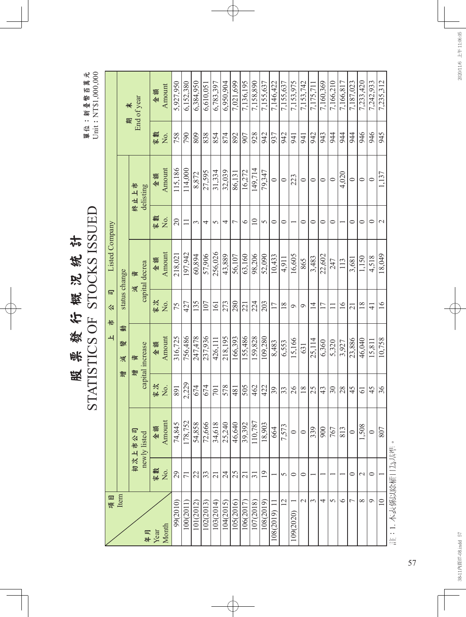|                             | 元<br>鄦<br>百<br>:新臺幣<br>f<br>單位 |
|-----------------------------|--------------------------------|
|                             | $\mathfrak{c}$                 |
| 統計<br><b>DS</b><br>楔        | j<br>てくら                       |
| 行<br>焚<br>स्त्री<br>स्<br>昅 | コフ                             |
|                             | F<br>C                         |

|                |               | End of year<br>$\star$<br>$\mathbb{R}$ | 金額   | Amount | 5.927.950       | 6,152,380       | 6,384,950 | 6,610,051 | 6,783,397 | 6,950,904       | 7,021,699      | 7,136,195       | 7,158,890       | 7,155,637      | 7,146,422        | 7,155,637 | 7,153,975 | 7,153,742        | 7,175,711      | 7,160,369       | 7,166,210 | 7,166,817       | 7,187,023      | 7,233,420      | 7,242,933      | 7,235,312       |  |
|----------------|---------------|----------------------------------------|------|--------|-----------------|-----------------|-----------|-----------|-----------|-----------------|----------------|-----------------|-----------------|----------------|------------------|-----------|-----------|------------------|----------------|-----------------|-----------|-----------------|----------------|----------------|----------------|-----------------|--|
|                |               |                                        | 家數   | ,<br>Ž | 758             | 790             | 809       | 838       | 854       | 874             | 892            | 907             | 928             | 942            | 937              | 942       | 941       | 941              | 942            | 943             | 944       | 944             | 944            | 946            | 946            | 945             |  |
|                |               | 終止上市<br>delisting                      | 金額   | Amount | 115,186         | 114,000         | 8,872     | 27,595    | 31,334    | 32,039          | 86,131         | 16,272          | 149,714         | 79,347         | $\circ$          | $\circ$   | 223       | $\circ$          | $\circ$        | $\circ$         | $\subset$ | 4,020           | $\circ$        | $\circ$        | $\circ$        | 1,137           |  |
|                |               |                                        | 家數   | Χo.    | $\overline{20}$ | $\Box$          | 3         | 4         | $\sigma$  | 4               | $\overline{ }$ | $\circ$         | $\supseteq$     | 5              | $\circ$          | $\circ$   |           | $\circ$          | $\circ$        | $\circ$         | $\circ$   |                 | $\circ$        | $\circ$        | $\circ$        | $\mathbf{\sim}$ |  |
| Listed Company |               | capital decrea<br>資                    | 金額   | Amount | 218,021         | 197,942         | 60,894    | 57,906    | 256,026   | 43,889          | 56,107         | 63,160          | 98,206          | 52,090         | 10,433           | 4,911     | 16,605    | 865              | 3,483          | 22,602          | 247       | 113             | 3,681          | 1,150          | 4,518          | 18,049          |  |
| 同<br>公<br>侣    | status change | 減                                      | 家次   | ,<br>Ž | 75              | 427             | 135       | 107       | 161       | 273             | 280            | 221             | 224             | 203            | 17               | 18        | $\circ$   | $\sigma$         | $\overline{4}$ | 17              |           | $\overline{16}$ | $\overline{c}$ | 18             | $\overline{4}$ | 16              |  |
| $\rightarrow$  | 動<br>變<br>減   | capital increase<br>資                  | 金額   | Amount | 316,725         | 756,486         | 247,478   | 237,936   | 426,111   | 218,195         | 166,393        | 155,486         | 159,828         | 109,280        | 8,483            | 6,553     | 15,166    | 631              | 25,114         | 6,360           | 5,320     | 3,927           | 23,886         | 46,040         | 15,811         | 10,758          |  |
|                | 增             | 增                                      | 家次   | Χo.    | 891             | 2,229           | 674       | 674       | 701       | 578             | 481            | 505             | 462             | 422            | 39               | 33        | 26        | 18               | 25             | 43              | $\Im$     | 28              | 45             | $\overline{6}$ | 45             | 36              |  |
|                |               | 初次上市公司<br>newly listed                 | 金額   | Amount | 74,845          | 178,752         | 54,858    | 72,666    | 34,618    | 25,240          | 46,640         | 39,392          | 110,787         | 18,903         | 664              | 7,573     |           | $\circ$          | 339            | $\frac{1}{900}$ | 767       | 813             | $\circ$        | 1,508          | $\circ$        | 807             |  |
|                |               |                                        | 家數   | Σó     | 29              | $\overline{71}$ | 22        | 33        | 21        | $\overline{24}$ | 25             | $\overline{21}$ | $\overline{31}$ | $\overline{1}$ |                  | 5         | 0         | 0                |                |                 |           |                 | 0              | $\mathcal{C}$  | $\circ$        |                 |  |
| 項目             | Item          | 年月                                     | Year | Month  | 99(2010)        | 100(2011)       | 101(2012) | 102(2013) | 103(2014) | 104(2015)       | 105(2016)      | 106(2017)       | 107(2018)       | 108(2019)      | $108(2019)$ $11$ | 12        | 109(2020) | $\mathrel{\sim}$ | $\epsilon$     | 4               | 5         | $\circ$         | L              | $\infty$       | Q              | $\equiv$        |  |

註:1.本表係以除權日為基準。 註:1. 本表係以除權日為基準。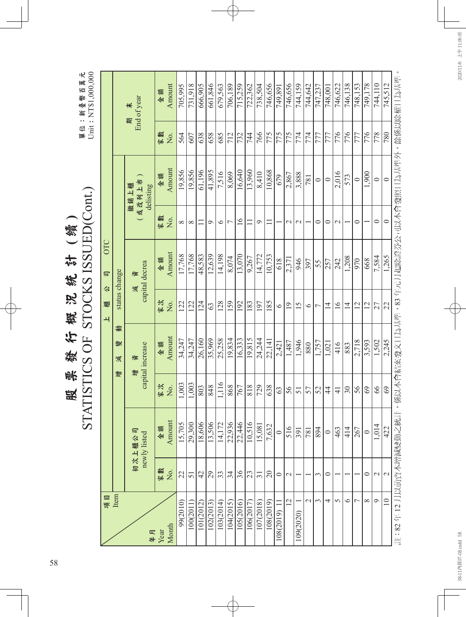|                                                   | 元<br>鄦<br>$\mathbb{E}$<br>新臺幣<br>單位 |
|---------------------------------------------------|-------------------------------------|
| 型<br>4栋<br>$\frac{1}{2}$<br>ם<br>Š<br>楔<br>行<br>焚 | ζ<br>くして<br>ロく こくこ                  |
| 峨<br>昅                                            |                                     |
|                                                   | F<br>C<br>Į                         |

單位:新臺幣百萬元<br>Unit: NT\$1,000,000 Unit: NT\$1,000,000

| 単位:新 臺幣 百 萬 元<br>Unit:NT\$1,000,000 |             |               | End of year                | 金額   | Amount | 705.995  | 731,918  | 666,905        | 661,846   | 679,563   | 706,189        | 715,259   | 722,362   | 738,504                | 746,656         | 749,891      | 746,656           | 744,159         | 744,642       | 747,237        | 748.001        | 746,622       | 746,138        | 748,153        | 749,178   | 744,110        | 745,512             |                                                |
|-------------------------------------|-------------|---------------|----------------------------|------|--------|----------|----------|----------------|-----------|-----------|----------------|-----------|-----------|------------------------|-----------------|--------------|-------------------|-----------------|---------------|----------------|----------------|---------------|----------------|----------------|-----------|----------------|---------------------|------------------------------------------------|
|                                     |             |               | 期                          | 家數   | Χo.    | 564      | 607      | 638            | 658       | 685       | 712            | 732       | 744       | 766                    | $\frac{2}{775}$ | 775          | 775               | 774             | 774           | 777            | 777            | 776           | 776            | 777            | 776       | 778            | 780                 |                                                |
|                                     |             |               | 或改列上市<br>撤銷上櫃<br>delisting | 金額   | Amount | 19,856   | 19,856   | 61,196         | 41,895    | 7,516     | 8,069          | 16,640    | 13,960    | 8,410                  | 10,868          | 679          | 2,867             | 3,888           | 781           | $\circ$        | $\circ$        | 2,016         | 573            | $\circ$        | 1,900     | $\circ$        | $\subset$           | ,係以本會結案發文日為基準,83 年元月起除證券公司以本會發照日為基準外,餘係以除權日為基準 |
|                                     |             |               |                            | 家數   | No.    | $\infty$ | $\infty$ | $\Box$         | $\circ$   | $\circ$   | $\overline{ }$ | $\geq$    | $\Box$    | $\circ$                | Ξ               |              | $\mathcal{L}$     | $\sim$          |               | $\circ$        | $\circ$        | $\mathcal{L}$ |                | $\circ$        |           | $\circ$        | $\mathord{\subset}$ |                                                |
|                                     | OTC<br>同    |               | capital decrea<br>資        | 金額   | Amount | 17,768   | 17,768   | 48,583         | 12,639    | 14,198    | 8,074          | 13,070    | 9,267     | 14,772                 | 10,753          | 618          | 2,371             | 946             | 397           | 55             | 257            | 242           | 1,208          | 970            | 668       | 7,584          | 1.265               |                                                |
|                                     | 公<br>櫃<br>ᅬ | status change | 減                          | 家次   | No.    | 122      | 122      | 124            | 63        | 128       | <sup>159</sup> | 192       | 183       | 197                    | $\frac{185}{2}$ | $\bullet$    | $\overline{19}$   | $\overline{15}$ | $\circ$       | $\overline{ }$ | $\overline{4}$ | $\frac{6}{1}$ | $\overline{1}$ | 12             | 12        | 27             | 22                  |                                                |
| STATISTICS OF STOCKS ISSUED(Cont.)  |             | 鄷<br>變<br>減   | capital increase<br>資      | 金額   | Amount | 34.247   | 34,247   | 26,160         | 35,969    | 25,258    | 19,834         | 16,333    | 19,815    | 24,244                 | 22,141          | 2,421        | 1,487             | 1,946           | 880           | 1,757          | 1,021          | 416           | 883            | 2,718          | 3,593     | 1,502          | 2,245               |                                                |
|                                     |             | 增             | 增                          | 家次   | No.    | 1,003    | 1,003    | 803            | 848       | 1,116     | 868            | 767       | 818       | 729                    | 638             | 63           | 56                | 51              | 57            | 52             | $\ddot{4}$     | $\frac{4}{1}$ | 30             | 56             | 69        | 8 <sup>o</sup> | 69                  |                                                |
|                                     |             |               | 初次上櫃公司<br>newly listed     | 金額   | Amount | 15,705   | 29,300   | 18,606         | 13,506    | 14,172    | 22,936         | 22,446    | 10,516    | $\frac{15,081}{7,632}$ |                 | $\circ$      | 516               | 391             | 781           | 894            | $\circ$        | 463           | 414            | 267            | $\subset$ | 1,014          | 422                 |                                                |
|                                     |             |               |                            | 家數   | No.    | 22       | 51       | $\overline{4}$ | 29        | 33        | 34             | 36        | 23        | $\overline{31}$        | $20\,$          | $\circ$      | $\mathbf{\Omega}$ |                 |               | 3              | $\circ$        |               |                |                | $\circ$   | $\mathcal{L}$  | $\sim$              |                                                |
|                                     | 項目          | Item          | 年月                         | Year | Month  | 99(2010) | 100(201) | 101(2012)      | 102(2013) | 103(2014) | 104(2015)      | 105(2016) | 106(2017) | 107(2018)              | 108(2019)       | 108(2019) 11 | 12                | 109(2020)       | $\mathcal{L}$ | 3              | 4              | 5             | $\circ$        | $\overline{a}$ | $\infty$  |                | $\overline{10}$     | 註:82年12月以前資本增減變動之統計                            |

58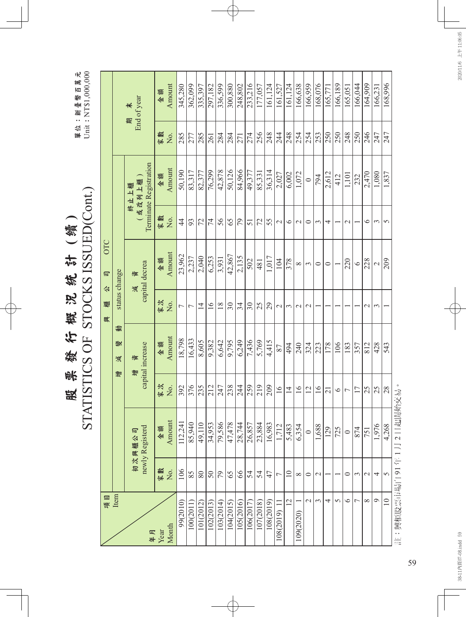| $\frac{1}{2}$ |       |
|---------------|-------|
| 线             |       |
| پر<br>ă       |       |
| 憨             | Į     |
| 4             | <br>C |
| 焚             |       |
| Ĥ<br>k        |       |
| 殿             |       |
|               |       |
|               |       |
|               |       |

單位:新臺幣百萬元<br>Unit: NT\$1,000,000 單位:新臺幣百萬元 Unit: NT\$1,000,000

|             |               | 期 末<br>End of year                      | 金額   | Amount | 345,280        | 362,099     | 335,397        | 297,182        | 336,599   | 300,880   | 248,802   | 233,216   | 177,057           | 161,124        | 161,527               | 161,124         | 166,638         | 166,959               | 168,076         | 165,771 | 166,189          | 165,051        | 166,044    | 164,909       | 166,231       | 168,996         |                       |
|-------------|---------------|-----------------------------------------|------|--------|----------------|-------------|----------------|----------------|-----------|-----------|-----------|-----------|-------------------|----------------|-----------------------|-----------------|-----------------|-----------------------|-----------------|---------|------------------|----------------|------------|---------------|---------------|-----------------|-----------------------|
|             |               |                                         | 家數   | Χo.    | 285            | $\sqrt{77}$ | 285            | 261            | 284       | 284       | 271       | 274       | $\frac{256}{248}$ |                | 244                   | 248             | 254             | 254                   | 253             | 250     | 250              | 248            | 250        | 246           | 247           | 247             |                       |
|             |               | Terminate Registration<br>或改列上櫃<br>終止上櫃 | 金額   | Amount | 50,190         | 83,317      | 82,377         | 76,299         | 42,878    | 50,126    | 84,966    | 49,377    | 85,331            | 36,314         | 2,027                 | 6,002           | 1,072           | $\circ$               | $\frac{1}{2}$   | 2,612   | 412              | 1,101          | 232        | 2,470         | 1,080         | 1,837           |                       |
|             |               |                                         | 家數   | Σο.    | $\frac{4}{4}$  | 93          | 72             | $\overline{7}$ | 56        | 65        | 79        | 51        | 72                | 55             | $\sim$                | $\circ$         | $\mathcal{L}$   | $\circ$               | $\epsilon$      | 4       |                  | $\mathbf 2$    |            | $\circ$       | $\epsilon$    | 5               |                       |
| OTC<br>同    |               | capital decrea<br>資                     | 金額   | Amount | 23,962         | 2,237       | 2,040          | 6,253          | 3,931     | 42,867    | 2,135     | 502       | 481               | 1,017          | 104                   | 378             | ${}^{\infty}$   | $\tilde{\phantom{0}}$ | $\circ$         | $\circ$ |                  | 220            | $\circ$    | 228           | $\mathcal{L}$ | 209             |                       |
| 公<br>櫃<br>興 | status change | 減                                       | 家次   | No.    | $\overline{ }$ |             | $\overline{1}$ | 16             | 18        | $30\,$    | 34        | $30\,$    | 25                | $\overline{5}$ | $\sim$                | $\epsilon$      | $\mathcal{L}$   | $\mathcal{L}$         |                 |         |                  |                |            | $\mathcal{L}$ | $\epsilon$    |                 |                       |
|             | 働<br>變<br>減   | capital increase<br>資                   | 金額   | Amount | 18,798         | 16,433      | 8,605          | 9,382          | 6,642     | 9,795     | 6,249     | 7,436     | 5,769             | 4,415          | 87                    | 494             | 240             | 324                   | 223             | 178     | 106              | 183            | 357        | 812           | 428           | 543             |                       |
|             | 增             | 增                                       | 家次   | No.    | 392            | 376         | 235            | 212            | 247       | 238       | 244       | 259       | 219               | $\sqrt{209}$   | $\overline{16}$       | $\overline{4}$  | $\overline{16}$ | 12                    | $\overline{16}$ | 21      | $\circ$          | $\overline{ }$ | 17         | 25            | 25            | 28              |                       |
|             |               | newly Registerd<br>初次興櫃公司               | 金額   | Amount | 112.241        | 85,940      | 49,110         | 34,953         | 79,586    | 47,478    | 28,744    | 26,857    | 23,884            | 16,983         | 1,712                 | 5,483           | 6,354           | $\circ$               | 1,688           | 129     | $\overline{725}$ | $\circ$        | 874        | 751           | 1,976         | 4,268           |                       |
|             |               |                                         | 家數   | Χo.    | 106            | 85          | $\rm 80$       | $\frac{5}{2}$  | 79        | 65        | 66        | 54        | 54                | 47             | $\overline{ }$        | $\overline{10}$ | $\infty$        | $\circ$               | $\mathbf{\sim}$ |         |                  | 0              | $\epsilon$ | $\mathbf{C}$  | 4             | $\sigma$        |                       |
| 項目          | Item          | 年月                                      | Year | Month  | 99(2010)       | 100(2011    | 101(2012)      | 102(2013)      | 103(2014) | 104(2015) | 105(2016) | 106(2017) | 107(2018)         | 108(2019)      | $\equiv$<br>108(2019) | 12              | 109(2020)       | $\mathcal{L}$         | $\epsilon$      | 4       | 5                | $\circ$        | 7          | $\infty$      | $\circ$       | $\overline{10}$ | 註:興櫃股票市場自91年1月2日起開始交易 |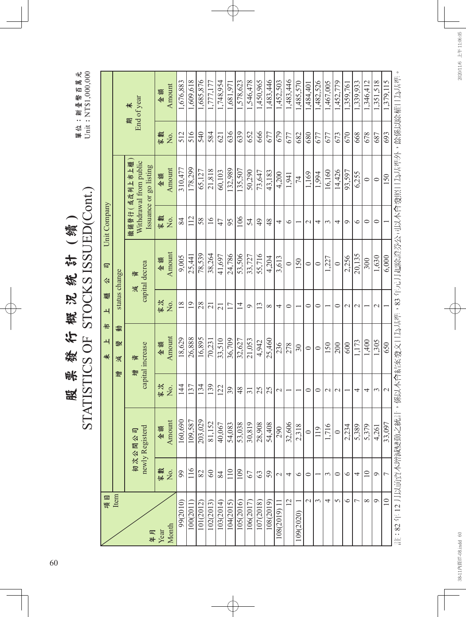| $\frac{1}{2}$ |  |
|---------------|--|
| 线             |  |
| <u>p2</u>     |  |
| 敢             |  |
| 汇             |  |
| 焚             |  |
| 账             |  |
| 跂             |  |

單位:新臺幣百萬元<br>Unit: NT\$1,000,000 單位:新臺幣百萬元 Unit: NT\$1,000,000

|                          |               | End of year<br>$\star$<br>颗                                      | 全額   | Amount | 1,676,883      | 1,609,618       | 1,685,876 | 1,777,17       | 1,748,954       | 1,681,971 | 1,578,623      | 1,546,478       | 1,450,965            | 1,483,446 | 1,452,503       | 1,483,446       | 1,485,570 | 1,484,40      | 1,482,526 | 1,467,005     | 1,452,779       | 1,359,761     | 1,339,933      | 1,346,412       | 1,351,518     | .379,115        |                                                |
|--------------------------|---------------|------------------------------------------------------------------|------|--------|----------------|-----------------|-----------|----------------|-----------------|-----------|----------------|-----------------|----------------------|-----------|-----------------|-----------------|-----------|---------------|-----------|---------------|-----------------|---------------|----------------|-----------------|---------------|-----------------|------------------------------------------------|
|                          |               |                                                                  | 家數   | Σó.    | 512            | 516             | 540       | 584            | 621             | 636       | 639            | 652             | 666                  | 677       | 679             | 677             | 682       | 680           | 677       | 677           | 673             | 670           | 668            | 678             | 687           | 693             |                                                |
|                          |               | 撤銷發行(或改列上市上櫃<br>Withdrawal from public<br>Issuance or go listing | 金額   | Amount | 310,477        | 178,299         | 65,127    | 21,818         | 60,103          | .32.989   | 135,507        | 50,290          | 73,647               | 43,183    | 4,200           | 1,941           | 74        | 1,169         | 1,994     | 16,160        | 14,426          | 93,597        | 6,255          | $\circ$         | $\circ$       | 150             |                                                |
| Unit Company             |               |                                                                  | 家數   | ,<br>Ž | 84             | 112             | 58        | 16             | 47              | 95        | 106            | 54              | $\overline{6}$       | 48        | 4               | $\circ$         |           | $\mathcal{L}$ | 4         | 3             | 4               | $\circ$       | $\circ$        | $\circ$         | $\circ$       |                 |                                                |
| 同<br>公                   |               | capital decrea<br>資                                              | 金額   | Amount | 9,005          | 25,441          | 78,539    | 38,264         | 41,697          | 24,786    | 53,506         | 33,727          | 55,716               | 4,204     | 3,613           | $\circ$         | 150       | $\circ$       | $\circ$   | ,227          | $\circ$         | 2,256         | 20,135         | 300             | 1,630         | 6,000           |                                                |
| 櫃<br>$\overline{+}$      | status change | 減                                                                | 家次   | No.    | $\frac{8}{18}$ | $\overline{19}$ | 28        | $\overline{c}$ | $\overline{21}$ | 17        | $\overline{4}$ | $\circ$         | $\tilde{\mathbf{c}}$ | $\infty$  | 4               | $\circ$         |           | $\circ$       | $\circ$   |               | $\circ$         | $\mathcal{C}$ | $\sim$         |                 | $\mathcal{L}$ |                 |                                                |
| 侣<br>$\overline{+}$<br># | 動<br>變<br>澞   | capital increase<br>資<br>增                                       | 金額   | Amount | 18,629         | 26,888          | 16,895    | 70,231         | 33,510          | 36,709    | 32,627         | 21,053          | 4,942                | 25,460    | 236             | 278             | 30        | $\circ$       | $\circ$   | 150           | 200             | 600           | 1,173          | 1,400           | 1,305         | 650             | ,係以本會結案發文日為基準,83 年元月起除證券公司以本會發照日為基準外,餘係以除權日為基準 |
|                          | 增             |                                                                  | 家次   | Σò.    | $\frac{4}{4}$  | 137             | 134       | 139            | 122             | 39        | 48             | $\overline{31}$ | 25                   | 25        | $\sim$          |                 |           | $\circ$       | $\circ$   | $\mathcal{L}$ | $\mathbf{\sim}$ |               | 4              | 4               | $\epsilon$    | $\mathcal{L}$   |                                                |
|                          |               | newly Registerd<br>初次公開公司                                        | 金額   | Amount | 160,690        | 109,587         | 203,029   | 81,152         | 40,067          | 54,083    | 53,038         | 30,819          | 28,908               | 54,408    | 290             | 32,606          | 2,318     | $\circ$       | 119       | 1,716         | $\circ$         | 2,234         | 5,389          | 5,379           | 4.261         | 33,097          |                                                |
|                          |               |                                                                  | 家數   | Χo.    | 99             | 116             | 82        | $60\,$         | 84              | 110       | 109            | 67              | 63                   | 59        | $\mathbf{\sim}$ | 4               | $\circ$   | $\circ$       |           | 3             | $\circ$         | $\circ$       | 4              | $\overline{10}$ | $\circ$       | $\overline{ }$  |                                                |
| 項目                       | Item          | 年月                                                               | Year | Month  | 99(2010)       | 100(2011        | 101(2012) | 102(2013)      | 103(2014)       | 104(2015) | 105(2016)      | 106(2017        | 107(2018)            | 108(2019) | 108(2019)       | $\overline{12}$ | 109(2020) | $\mathcal{L}$ | 3         | 4             | 5               | $\circ$       | $\overline{ }$ | $\infty$        | $\circ$       | $\overline{10}$ | 註:82年12月以前資本增減變動之統計                            |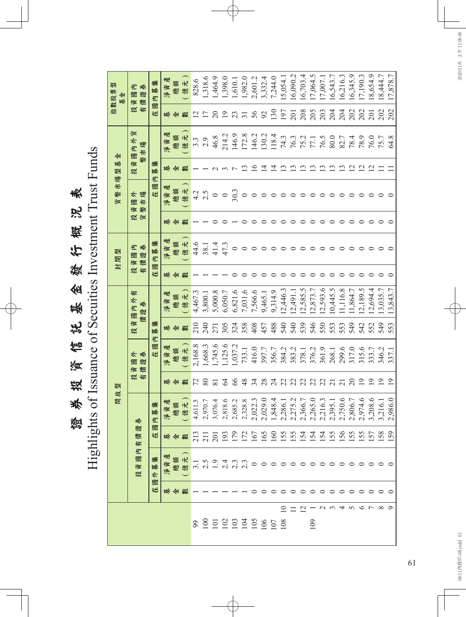證券投資信託基金發行概況表 證券投資信託基金發行概況表

Highlights of Issuance of Secuities Investment Trust Funds

|            |                       |        |                            |                        | 開放                                                                                                                                                         | 型               |                                               |             |                     |        | 封閉型                    |    | 市場<br>幣<br>貨     | 基<br>型      | 쇈                       |                 | 퀚<br>指數股票<br>其金 |
|------------|-----------------------|--------|----------------------------|------------------------|------------------------------------------------------------------------------------------------------------------------------------------------------------|-----------------|-----------------------------------------------|-------------|---------------------|--------|------------------------|----|------------------|-------------|-------------------------|-----------------|-----------------|
|            |                       |        | $\mathbf E$<br>圖<br>資<br>投 | 證<br>筒<br>有            | 卷                                                                                                                                                          | 投有              | $\frac{1}{\sqrt{2}}$<br>养<br>國<br>證<br>債<br>資 | 儥<br>資<br>投 | 有<br>國內外<br>养<br>證  | 投有     | E<br>證券<br>圖<br>價<br>資 | 投貨 | 國市場<br>資幣        | 幣<br>資<br>投 | 貨<br>國內外<br>蝪<br>卡      | 投有              | 資國內             |
|            |                       | 圖<br>在 | 集<br>募<br>$\frac{1}{2}$    | 圖<br>在                 | 募集<br>$\mathbf{E}$                                                                                                                                         |                 | 包<br>國<br>在                                   | 集<br>募      |                     | 圖<br>在 | 集<br>内募                |    | 包<br>國<br>在      | 集<br>募      |                         | 國<br>在          | 集<br>纂<br>E     |
|            |                       | 基金數    | 建<br>賟                     | 基金數                    | 資產<br>颁                                                                                                                                                    | 基               | 資資<br>賟                                       | 基           | 建<br>淨資             | 槲      | 淨資                     | 崊  | 資資<br>媡          | 摲           | 產<br>資<br>腆             | 崊               | 淨資產             |
|            |                       |        | 额元<br>總億                   |                        | <b>微信 こうかん あんこう こうかん あんこう (おお) おおかん おおおお かんこう こうかん おおおお かんこう こうじょう こうじょう こうじょう こうじょう こうじょう こうじょう こうじょう こうじょう こうじょう こうじょう こうじょう こうじょう こうじょう こうじょう こうじょう</b> | 數<br>쉐          | 億元<br>總額                                      | 쉐<br>數      | (億元)<br>總額          | ≮⊭     | 億元<br>總額               | 쉐  | 億元<br>總額         |             | 億元<br>總額                | 金數              | 〔億元〕<br>總額      |
|            |                       |        |                            |                        |                                                                                                                                                            | $\mathcal{L}$   | 2,168.8                                       | 210         | 4,467.3             |        | 44.6                   |    | 4.2              |             | $3.\overline{3}$        |                 | 828.6           |
| 8852335958 |                       |        |                            | 3338225999534446666589 |                                                                                                                                                            | 80              | 1,668.3                                       | 240         | 3,800.1             |        | 38.1                   |    | 2.5              |             | 2.9                     |                 | 1,318.6         |
|            |                       |        |                            |                        |                                                                                                                                                            | $\overline{81}$ | 1,745.6                                       | 271         | 5,000.8             |        | 41.4                   |    | $\circ$          |             | 46.8                    | 20              | 1,464.9         |
|            |                       |        |                            |                        |                                                                                                                                                            | $\mathcal{L}$   | 1,125.6                                       | 305         | 6,050.7             |        | 47.3                   |    | $\frac{0}{30.3}$ |             | 214.2                   | 19              | 1,398.0         |
|            |                       |        |                            |                        |                                                                                                                                                            | 66              | 1,037.2                                       | 324         | 6,821.6             |        | $\circ$                |    |                  |             |                         | 23              | 1,610.1         |
|            |                       |        |                            |                        |                                                                                                                                                            | 48              | 733.1                                         | 358         | 7,031.6             |        | $\circ$                |    | $\circ$          |             | 146.9<br>172.8<br>146.2 | $\overline{31}$ | 1,982.0         |
|            |                       |        |                            |                        |                                                                                                                                                            | 34              | 416.0                                         | 408         | 7,566.6<br>$\Gamma$ |        |                        |    | $\circ$          | $\circ$     |                         | 56              | 2,601.2         |
|            |                       |        |                            |                        |                                                                                                                                                            | 28              | 397.7                                         | 457         | 9,465.1             |        | $\circ$                |    | $\circ$          | 4           | 130.2<br>118.4          | 92              | 3,332.4         |
|            |                       |        |                            |                        |                                                                                                                                                            | $\mathcal{Z}$   | 356.7                                         | 488         | 9,314.9             |        | $\circ$                |    | $\circ$          | ↴           |                         | 130             | 7,244.0         |
|            |                       |        |                            |                        |                                                                                                                                                            | 22              | 384.2                                         | 540         | 12,446.3            |        | $\circ$                |    |                  |             | 74.3                    | 197             | 15,054.         |
|            | $\supseteq$ $\supset$ |        |                            |                        |                                                                                                                                                            | 22              | 383.2                                         | 540         | 12,491.1            |        | ᅌ                      |    |                  |             | 76.3<br>75.2            | 201             | 16,090.2        |
|            | $\overline{C}$        |        |                            |                        |                                                                                                                                                            |                 | 378.1                                         | 539         | 2,585.5             |        | っ                      |    |                  |             |                         | 208             | 16,703.4        |
| 109        |                       |        |                            |                        |                                                                                                                                                            | 22              | 376.2                                         | 546         | 12,873.7            |        |                        |    |                  |             | 77.1                    | 205             | 17,064.5        |
|            |                       |        |                            |                        |                                                                                                                                                            | $\mathfrak{L}$  | 361.9                                         | 550         | 12,593.6            |        |                        |    |                  |             | 76.5                    | 203             | 17,007.1        |
|            |                       |        |                            |                        |                                                                                                                                                            | $\overline{c}$  | 268.1                                         | 553         | 10,445.5            |        |                        |    |                  |             | 80.0                    | 204             | 16,543.         |
|            |                       |        |                            |                        |                                                                                                                                                            | $\overline{c}$  | 299.6                                         | 553         | 11,116.8            |        |                        |    |                  |             | 82.7                    | 204             | 16,216.3        |
|            |                       |        |                            |                        |                                                                                                                                                            | $\Omega$        | 317.0                                         | 549         | 1,864.7             |        |                        |    |                  | C           | 78.4                    | 202             | 16,345.9        |
|            |                       |        |                            |                        |                                                                                                                                                            | $\overline{19}$ | 315.6                                         | 542         | 12,189.5            |        |                        |    |                  | $\sim$      | 78.9                    | 202             | 17,190.3        |
|            |                       |        |                            |                        | ,208.6                                                                                                                                                     | $\overline{9}$  | 333.7                                         | 552         | 12,694.4            |        |                        |    |                  | $\simeq$    | 76.0                    | 201             | 18,654.9        |
|            |                       |        |                            |                        |                                                                                                                                                            | $\supseteq$     | 346.2                                         | 549         | 13,035.7            |        |                        |    |                  |             | 75.7                    | 202             | 8,444.7         |
|            |                       |        |                            |                        |                                                                                                                                                            | $\overline{9}$  | 337.1                                         | 553         | 13,843.7            |        |                        |    |                  |             | 64.8                    | 202             | 17,878.7        |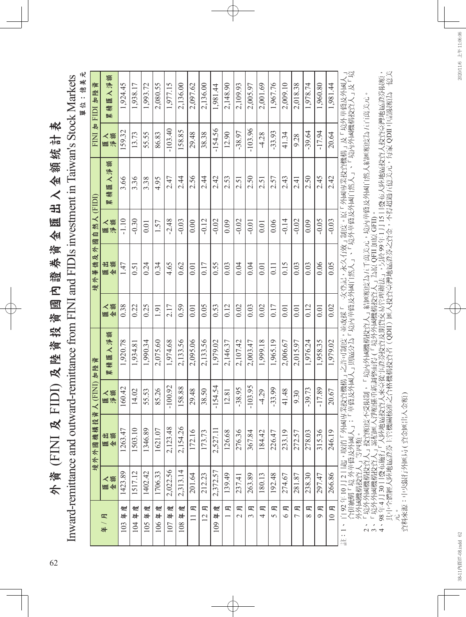外資 (FINI 及 FIDI) 及陸資投資國內證券資金匯出入金額統計表 外資(FINI及FIDI)及陸資投資國內證券資金匯出入金額統計表

單位:億美元 單位:億美元 Inward-remittance and outward-remittance from FINI and FIDIs investment in Taiwan's Stock Markets Inward-remittance and outward-remittance from FINI and FIDIs investment in Taiwan's Stock Markets

|                                                     |          | 境外外國機構投                                                                | 人(FINI)加陸資<br>資 |                                    |              | 及外<br>境外華僑      | 自然人 (FIDI)<br>圗 |                                                            |              | 資<br>FINI 加 FIDI 加陸          |
|-----------------------------------------------------|----------|------------------------------------------------------------------------|-----------------|------------------------------------|--------------|-----------------|-----------------|------------------------------------------------------------|--------------|------------------------------|
| 皿<br>#                                              | 図金金      | 隆金金                                                                    | 医泽膜             | 额<br>匯入淨<br>積<br>緊                 | 金額<br>く<br>匯 | 额<br>Æ<br>匯金    | 医泽湾             | 额<br>入净<br>嚜<br>稿<br>緊                                     | 鑹<br><<br>匯淨 | 入淨額<br>圜<br>稿<br><b>Bole</b> |
| 度<br>44<br>103                                      | 1423.89  | 1263.47                                                                | 160.42          | 1,920.78                           | 0.38         | 1.47            | $-1.10$         | 3.66                                                       | 159.32       | 1.924.45                     |
| 度<br>44<br>104                                      | 1517.12  | 1503.10                                                                | 14.02           | 1,934.81                           | 0.22         | 0.51            | $-0.30$         | 3.36                                                       | 13.73        | 1,938.17                     |
| 度<br>#<br>105                                       | 1402.42  | 1346.89                                                                | 55.53           | 1.990.34                           | 0.25         | 0.24            | 0.01            | 3.38                                                       | 55.55        | 1,993.72                     |
| 度<br>106年                                           | 1706.33  | 1621.07                                                                | 85.26           | 2,075.60                           | 1.91         | 0.34            | 1.57            | 4.95                                                       | 86.83        | 2,080.55                     |
| 度<br>44<br>107                                      | 2,022.56 | 2,123.48                                                               | $-100.92$       | 1,974.68                           | 2.17         | 4.65            | $-2.48$         | 2.47                                                       | $-103.40$    | 1,977.15                     |
| 度<br>#<br>108                                       | 2,313.14 | 2,154.26                                                               | 158.88          | 2,133.56                           | 0.59         | 0.62            | $-0.03$         | 24<br>24                                                   | 158.85       | 2,136.00                     |
| 哣<br>$\Box$                                         | 201.64   | 172.16                                                                 | 29.48           | 2,095.06                           | 0.01         | 0.01            | 0.00            | 2.56                                                       | 29.48        | 2,097.62                     |
| 月<br>$\overline{2}$                                 | 212.23   | 173.73                                                                 | 38.50           | 2,133.56                           | 0.05         | 0.17            | $-0.12$         | 2.44                                                       | 38.38        | 2,136.00                     |
| 度<br>44<br>109                                      | 2,372.57 | 2,527.11                                                               | $-154.54$       | 1,979.02                           | 0.53         | 0.55            | $-0.02$         | 2.42                                                       | $-154.56$    | 1.981.44                     |
| 皿                                                   | 139.49   | 126.68                                                                 | 12.81           | 2,146.37                           | 0.12         | 0.03            | 0.09            | 2.53                                                       | 12.90        | 2,148.90                     |
| 哣<br>$\sim$                                         | 237.41   | 276.36                                                                 | $-38.95$        | 2,107.42                           | 0.02         | 0.04            | $-0.02$         | 2.51                                                       | $-38.97$     | 2,109.93                     |
| 哣<br>$\sim$                                         | 263.89   | 367.84                                                                 | $-103.95$       | 2,003.47                           | 0.03         | 0.04            | $-0.01$         | 2.50                                                       | $-103.96$    | 2,005.97                     |
| 哣<br>4                                              | 180.13   | 184.42                                                                 | $-4.29$         | 1,999.18                           | 0.02         | 0.01            | 0.01            | 2.51                                                       | $-4.28$      | 2,001.69                     |
| 皿<br>5                                              | 192.48   | 226.47                                                                 | $-33.99$        | 1,965.19                           | 0.17         | 0.11            | 0.06            | 2.57                                                       | $-33.93$     | 1,967.76                     |
| 哣<br>$\circ$                                        | 274.67   | 233.19                                                                 | 41.48           | 2,006.67                           | 0.01         | 0.15            | $-0.14$         | 2.43                                                       | 41.34        | 2,009.10                     |
| 皿<br>$\overline{ }$                                 | 281.87   | 272.57                                                                 | 9.30            | 2,015.97                           | 0.01         | 0.03            | $-0.02$         | 2.41                                                       | 9.28         | 2,018.38                     |
| 哣<br>$\infty$                                       | 238.30   | 278.03                                                                 | $-39.73$        | 1.976.24                           | 0.12         | 0.03            | 0.09            | 2.50                                                       | 39.64        | 1.978.74                     |
| 皿<br>$\sigma$                                       | 297.47   | 315.36                                                                 | $-17.89$        | 1.958.35                           | 0.01         | 0.06            | $-0.05$         | 2.45                                                       | $-17.94$     | 1,960.80                     |
| 月<br>$\overline{10}$                                | 266.86   | 246.19                                                                 | 20.67           | 1.979.02                           | 0.02         | 0.05            | $-0.03$         | 2.42                                                       | 20.64        | 1,981.44                     |
| $\overline{\phantom{a}}$<br>$\overline{\cdot}$<br>揾 |          | 自 92年 10 月 2 日起,取消「外國專業投資機構<br>合併統稱「境 外華僑及外國人」;「華僑及外國<br>外外國機構投資人」等四類。 |                 | 之許可制度,並改採「一次登記,永久有效<br>華僑及外國人」則區分為 |              | 「境內華僑及外國自然人」、 「 |                 | 效」制度。原「外國專業投資機構」及「境外華僑及外國人」<br>「境外華僑及外國自然人」、「境內外國機構投資人」及「境 |              |                              |

 2、「境外外國機構投資人」投資額度不受限制,「境內外國機構投資人」結匯額度為五千萬美元,境內華僑及外國自然人結匯額度為五百萬美元。 3、「境外外國機構投資人」累積匯入淨額係重新調整而得 (「境外外國機構投資人」為原 QFII 加原 GFII)。

 4、 98 年 4 月 30 日發布施行「大陸地區投資人來臺從事證券投資及期貨交易管理辦法」,另於 99 年 1 月 15 日發布大陸地區投資人投資臺灣地區證券限額, <sup>,,,,</sup>"感感構投資人」守一惑。<br>3、「境外外國機構投資人」投資額度不受限制,「境內外國機構投資人」結匯額度為五千萬美元,境內華僑及外國自然人結匯額度為五百萬美元。<br>4、98年4月30日發布施行「大陸地區投資人來臺從事證券投資及期貨交易管理辦法」,另於99年1月15日發布大陸地區投資人投資臺灣地區證券限額,<br>其中全體經大陸地區證券主管機關核准之合格機構投資者(QDII)匯入投資臺灣地區證券之資金,不得超過五億美元,每家 QDII 申

其中全體經大陸地區證券主管機關核准之合格機構投資者(QDII)匯入投資臺灣地區證券之資金,不得超過五億美元,每家 QDII 申請限額為一億美

資料來源:中央銀行外匯局 ( 資金匯出入金額 )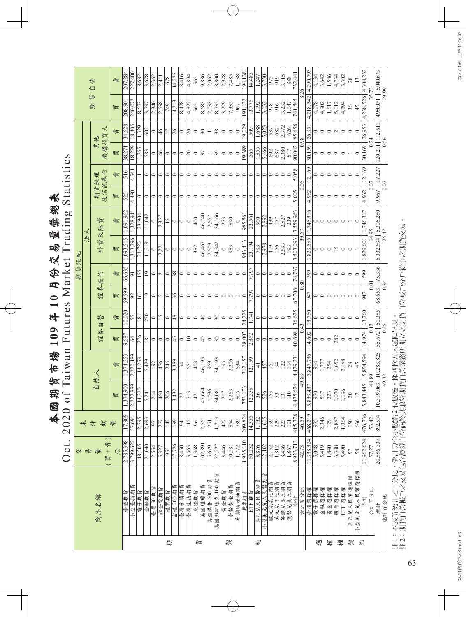| 本國期貨市場 109年10月份交易量票總表 | t Trading<br><b>larke</b><br>of Taiwan Futures<br>2020 |
|-----------------------|--------------------------------------------------------|
|                       | Oct.                                                   |
|                       |                                                        |

|   |                      | ₭                     |                                 |                                      |                                               |                          |                          |                | 期貨經紀          |                                     |                     |         |                    |                 |                 |                           |                         |
|---|----------------------|-----------------------|---------------------------------|--------------------------------------|-----------------------------------------------|--------------------------|--------------------------|----------------|---------------|-------------------------------------|---------------------|---------|--------------------|-----------------|-----------------|---------------------------|-------------------------|
|   |                      | 易                     | 未沖                              |                                      |                                               |                          |                          |                |               | 法                                   |                     |         |                    |                 |                 |                           |                         |
|   | 商品名稱                 | 蠹<br>(買+<br>量         | 鍼                               | 自                                    | 然人                                            | 證券                       | 誉<br>自                   | 證券投信           |               | 資及陸<br>$\frac{1}{2}$                | 資                   | 期貨經理    | 及信託基金              | 機構投資人<br>其他     |                 | र्न≡र<br>期                | 誉<br>自                  |
|   |                      | $\overline{2}$        | 量                               | 買                                    | 責                                             | 買                        | 賣                        | 買              | 賣             | 買                                   | 賣                   | 買       | 賣                  | 買               | 賣               | 買                         | 責                       |
|   | 臺股期貨                 | 2,785,398             | 117,809                         | ,374,900                             | .374,353                                      | 9,687                    | 10,020                   | 59,599         | 66,635        | ,093,515                            | ,091,962            | 525     | 516                | 38,27           | 34,628          | 208,901                   | 207,284                 |
|   | fш<br>小型臺指期          | 3,799,622             | 57,691                          | 2,222,889                            | 2,220,189                                     | 3                        | 55                       | $\mathfrak{D}$ | 5             | ,313,796                            | ,328,94             | 4,480   | 4,541              | 18,229          | 18,405          | 240,072                   | 227,400                 |
|   | 電子期貨                 | 48,505                | 2,795                           | 14,320                               | 14,253                                        | 276                      | 181                      | 161            | 155           | 23,720                              | 23,904              | 0       |                    | 1,355           | 1,329           | 8,673                     | 8,682                   |
|   | 金融期貨                 | 21,040                | 2,693                           | 5,241                                | 5,429                                         | $\overline{181}$         | 270                      | $\vert$ 2      | $ 9\rangle$   | 11,219                              | 11,042              | $\circ$ | $\circ$            | 583             | 602             | 3,797                     | 3,678                   |
|   | 臺灣 50期貨              | 2,554                 | 97                              | 214                                  | $\overline{192}$                              | $\circ$                  | $\circ$                  | $\circ$        | $\circ$       | $\circ$                             | $\circ$             | $\circ$ | $\circ$            | $\circ$         | $\circ$         | 2,340                     | 2,362                   |
|   | 非金電期貨                | 5,327                 | 277                             | 460                                  | 476                                           | $\circ$                  | $\overline{15}$          | $\sim$         | $\mathcal{L}$ | 2,221                               | 2,377               | $\circ$ | $\circ$            | 46              | 46              | 2,598                     | 2.411                   |
| 期 | 櫃買期貨                 |                       |                                 |                                      | 245                                           | $\circ$                  | $\circ$                  |                | $\circ$       | $\circ$                             | $\overline{15}$     | 0       | $\circ$            | $\circ$         |                 | 749                       | 678                     |
|   | 富櫃 200 期貨            | $\frac{955}{17,726}$  | $\frac{142}{190}$               | $\frac{206}{3,432}$                  | 3,389                                         | 45                       | ¦≋                       | $\frac{9}{6}$  | $\frac{8}{3}$ | $\circ$                             | $\circ$             | 0       | $\circ$            | $\circ$         | $\overline{26}$ | 14,213                    | $\frac{14,225}{2}$      |
|   | 臺灣永續期貨               | 8,450                 | 94                              | 22                                   | 34                                            | $\circ$                  | $\circ$                  | $\circ$        | $\circ$       | $\circ$                             | $\circ$             | 0       | $\circ$            | $\circ$         | $\circ$         | 8,428                     | 8,416                   |
|   | 臺灣生技期貨               | 5,565                 | 112                             | $\sqrt{713}$                         | 651                                           | $\supseteq$              | $\circ$                  | $\circ$        | $\circ$       | $\circ$                             | $\circ$             | 0       | $\circ$            | $\overline{c}$  | 20              | 4,822                     | 4.894                   |
| 食 | 東證期貨                 | 1,368                 | $\frac{8}{3}$                   | $\overline{421}$                     | $\sqrt{403}$                                  | ∣⇔                       | ⇔                        | ∣⇔             | $\circ$       | 382                                 | $\sqrt{400}$        | 0       | $\circ$            | ⇔               | ∣⇔              | 565                       | 565                     |
|   |                      | 102,891               | 2,561                           | 47,664                               | 46,195                                        | $\overline{40}$          | $\sqrt{4}$               | $\circ$        | $\circ$       | 46,467                              | 46,740              | 0       | $\circ$            | 37              | 30              | 8,683                     | 9,886                   |
|   | 美國道瓊期貨<br>美國標普 500 期 | 5,679                 | 251                             | 1,036                                | 959                                           | $\circ$                  | $\circ$                  | $\circ$        | $\circ$       | 2,609                               | 2,657               | 0       | $\circ$            |                 |                 | 2,033                     | 2,062                   |
|   | 美國那斯達克 100 期         | 77,227                | 1,213                           | 34,081                               | 34,193                                        | $\overline{\mathcal{E}}$ | $\overline{\mathcal{E}}$ | $\circ$        | 0             | 34,342                              | 34,166              | 0       | $\circ$            | $\overline{39}$ | 38              | 8,735                     | 8,800                   |
|   | 黄金期貨                 | 3,446                 | 427                             | 217                                  | 195                                           | $\circ$                  | $\circ$                  | $\circ$        | 0             | $\circ$                             | 273                 | 0       | $\circ$            | $\circ$         | $\circ$         | 3,229                     | 2,978                   |
| 契 | 臺幣黃金期貨               | 10,581                | 854                             | 2,263                                | 2,206                                         | $\circ$                  | $\circ$                  | $\circ$        | 0             | 983                                 | 890                 | 0       | $\circ$            | $\circ$         | $\circ$         | 7,335                     | 7,485                   |
|   | 布蘭特原油期貨              | 1,772                 | 789                             | 805                                  | 634                                           | $\circ$                  | $\circ$                  | $\circ$        | $\circ$       | $\circ$                             | $\circ$             | $\circ$ | $\circ$            | $\circ$         | $\circ$         | 967                       | 1,138                   |
|   | 股票期貨                 | .935.1                | 209,824                         | 753,173                              | 712,157                                       | 28,003                   | 24,225                   | ∣⇔             | ○             | 943,41                              | 985,561             | 0       | ∣⇔                 | 19,389          | 19.029          | 91.132                    | 194,138                 |
|   | ETF 期貨               | 60,252                | $\frac{14,355}{2}$              | 12,558                               | 12,159                                        | 2,362                    | $-741$                   | 797            | 7.797         | 23,194                              | 23,561              | 0       | $\circ$            | 565             | $\frac{60}{5}$  | 13,776                    | 14,485                  |
| 约 | 美元兑人民幣期貨             | 3,876                 | 1,132                           | 36                                   | $\frac{1}{4}$                                 | $\circ$                  | $\circ$                  | $\circ$        | $\circ$       | 793                                 | 900                 | 0       | $\circ$            | 1,855           | 1,688           | 1,192                     | 1,247                   |
|   | 小型美元兑人民幣期            | 12,102                | 1,615                           | 526                                  | 457                                           | $\circ$                  | $\circ$                  | $\circ$        | $\circ$       | 2,978                               | 2,892               | 0       | $\circ$            | 5,466           | 5,023           | 3,132                     | $\frac{3,730}{ }$       |
|   | 歐元兌美元期               | 2,152                 |                                 | $\frac{53}{5}$                       | 151                                           | $\circ$                  | 0                        | 0              | 0             | 419                                 | 439                 |         | 0                  | 602             | 587             | 978                       | 975                     |
|   | 美元兒日元期               | 1,812                 |                                 |                                      | $\overline{34}$                               | $\circ$                  | $\circ$                  | $\circ$        | 0             | 156                                 | 177                 |         | $\circ$            | 687             | 682             | 916                       | 919                     |
|   | 英镑兄美元期貨<br>澳幣兌美元期貨   | $\frac{8,436}{1,867}$ | $\frac{1}{2}$ and $\frac{1}{2}$ | $\overline{\Xi}$<br>$\overline{131}$ | 122<br>$\frac{14}{3}$                         | $\circ$<br>0             | $\circ$<br>0             | $\circ$        | 0             | 2,693<br>$\sqrt{93}$                | $\frac{2,827}{239}$ |         | $\circ$<br>$\circ$ | 2,380<br>5      | 2,372<br>626    | 3,232<br>$\frac{1}{1.04}$ | 3,115<br>888            |
|   | 公計                   | 8,923,71              | 415,778                         | ,475,624                             | 4,429,23                                      | 40,698                   | 36,625                   | 67.706         | 74,73°        | 503,093                             | 3,559,963           | 5.005   | 5,058              | 90,042          | 85,658          | 741,545                   | 732,441                 |
|   | 合計百分比                | 42.73                 | 46.59                           | 49.89                                |                                               | 0.43                     |                          | 0.80           |               | 39.57                               |                     | 0.06    |                    | 0.98            |                 | 8.26                      |                         |
|   | 臺指選擇權                | 1,938,324             | 468,219                         | , 839, 437                           | 5,847,736                                     | 14,692                   | 13,760                   | 947            | 599           | 829,585                             | 1,746,316           | 4,962   | 12,169             | 30,159          | 26,951          | 4,218,542                 | 4,290,79                |
| 選 | 電子選擇權                | 5,048                 | 975                             | 970                                  | 914                                           | $\circ$                  | 0                        | $\circ$        | 0             | $\circ$                             | ∍                   |         | $\circ$            | 0               | 0               | 4,078                     | 4,134                   |
|   | 金融選擇權                | 5,419                 | 2,346                           | 517                                  | 1,777                                         | $\circ$                  | $\circ$                  | $\circ$        | $\circ$       | $\circ$                             | $\circ$             | $\circ$ | $\circ$            | $\circ$         | $\circ$         | 4,902                     | 3,642                   |
| 挥 | 黄金選擇權                | 1,840                 | 129                             | 223                                  | 254                                           | $\circ$                  | $\circ$                  | $\circ$        | $\circ$       | $\circ$                             | $\circ$             | $\circ$ | $\circ$            | $\circ$         | $\circ$         | 1,617                     | 1,586                   |
| 權 | 股票選擇權                | 6,388                 | 2,887                           | $\frac{1,070}{\frac{1}{2}}$          | 1,652                                         | $\overline{282}$         | $\circ$                  | ∣⇔             | $\circ$       | 51                                  | $\circ$             | $\circ$ | $\circ$            | $\sigma$        | $\sim$          | 5,012                     | 4,734                   |
|   | ETF 選擇權              | 5,490                 | 1,364                           | 1,196                                | 2,188                                         | $\circ$                  | $\circ$                  | $\circ$        | $\circ$       | $\circ$                             | $\circ$             | $\circ$ | $\circ$            | $\circ$         | $\circ$         | 4,294                     | 3,302                   |
| 契 | 美元兑人民幣選擇權            | 57                    | 150                             | $\overline{20}$                      | 28                                            | $\circ$                  | $\circ$                  | $\circ$        | $\circ$       | $\circ$                             |                     | $\circ$ | $\circ$            |                 | $\circ$         | 36                        | 28                      |
| 约 | 小型美元兒人民幣選擇權          | $\frac{8}{3}$         | 666                             | $\overline{c}$                       | 45                                            | $\circ$                  | $\circ$                  | ⇔              | $\circ$       |                                     | $\circ$             | $\circ$ | $\circ$            | $\circ$         | $\circ$         | 45                        | $\overline{13}$         |
|   | 合計                   | 1,962,624             | 476,736                         | 5,843,445                            | 5,854,594                                     | 14,974                   | 13,760                   | 947            | 599           | , 829, 601                          | 1,746,31            | 4,962   | 12,169             | 30,169          | 26,953          | 4,238,526                 | 4,308,232               |
|   | 合計百分比                | 57.27                 | 53.42                           |                                      | 48.89                                         | ੋ                        | $\overline{c}$           | 0.01           |               | 4.                                  | 95                  | 0.07    |                    | 0.24            |                 |                           | 13                      |
|   | 總計                   | 20,886,337            | 892,514                         | 0,319,069                            | $\frac{69}{49.32}$ $\frac{10,283,825}{49.32}$ | 55,672 50,385            |                          | 68,653         | 75,336        | $\frac{5,332,694}{25,47}$ 5,306,280 |                     | 9,967   | 17,227             | 120,211 112,611 |                 | 4,980,071                 | $\frac{71}{23.99}$ 3.99 |
|   | 總計百分比                |                       |                                 |                                      |                                               | 0.25                     |                          | 0.34           |               |                                     |                     | 0.07    |                    | 0.56            |                 |                           |                         |
|   |                      |                       |                                 |                                      |                                               |                          |                          |                |               |                                     |                     |         |                    |                 |                 |                           |                         |

註 1:本表所統計之百分比,係計算至小數點 2 位數後,採四拾五入邏輯呈現。<br>註 2:期貨自營帳戶之交易包含證券自營商於其兼營期貨自營業務所開立之期貨自營帳戶分戶從事之期貨交易。 註 2:期貨自營帳戶之交易包含證券自營商於其兼營期貨自營業務所開立之期貨自營帳戶分戶從事之期貨交易。 註 1:本表所統計之百分比,係計算至小數點 2 位數後,採四捨五入邏輯呈現。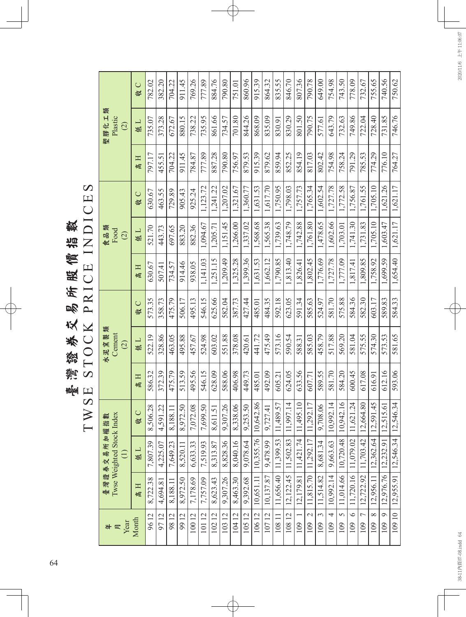TWSE STOCK PRICE INDICES CE INDICE 灣證券交易所照價指數 臺灣證券交易所股價指數 PRI TOCK  $\infty$ TWSE

 $\Omega$ 

790.78 782.02 382.20 911.45 769.26 884.76 790.80 860.96 915.39 864.32 835.55 846.70 807.36 649.00 754.98 743.50 778.09 109 6 11,720.16 11,079.02 11,621.24 600.45 581.04 584.36 1,817.41 1,741.30 1,756.87 791.29 749.86 778.09 732.67 109 7 12,722.92 11,703.42 12,664.80 617.08 575.55 582.30 1,809.85 1,731.83 1,761.55 785.53 722.04 732.67 755.65 109 8 12,956.11 12,362.64 12,591.45 616.91 574.30 603.17 1,758.92 1,705.10 1,705.10 774.29 728.40 755.65 740.56 109 9 12,976.76 12,232.91 12,515.61 612.16 573.53 589.83 1,699.59 1,603.47 1,621.26 776.10 731.85 740.56 750.62 109 10 12,955.91 12,546.34 12,546.34 593.06 581.65 584.33 1,654.40 1,621.17 1,621.17 764.27 746.76 750.62 96 12 8,722.38 7,807.39 8,506.28 586.32 522.19 573.35 630.67 521.70 630.67 797.17 735.07 782.02 97 12 4,694.81 4,225.07 4,591.22 372.39 328.86 358.73 507.41 443.73 463.55 455.51 373.28 382.20 704.22 98 12 8,188.11 7,649.23 8,188.11 475.79 463.05 475.79 734.57 697.65 729.89 704.22 672.67 704.22 99 12 8,972.50 8,572.50 8,972.50 | 8,972.50 | 8514.46 | 8514.46 | 874.46 | 872.50 | 972.59 | 880.15 | 880.11 | 100 12 7,178.69 6,633.33 7,072.08 495.56 457.67 495.13 938.05 882.36 925.24 784.87 738.22 769.26 777.89 101 12 7,757.09 7,519.93 7,699.50 546.15 524.98 546.15 1,141.03 1,094.67 1,123.72 777.89 735.95 777.89 102 12 8,623.43 8,313.87 8,611.51 628.09 603.02 625.66 1,251.15 1,205.71 1,241.22 887.28 861.66 884.76 103 12 9,307.26 8,828.36 9,307.26 588.06 551.88 582.04 1,209.49 1,151.45 1,207.02 790.80 734.57 790.80 751.01 104 12 8,463.30 8,040.16 8,338.06 406.98 378.08 387.73 1,325.28 1,266.00 1,321.67 756.97 701.80 751.01 105 12 9,392.68 9,078.64 9,253.50 449.73 420.61 427.44 1,399.36 1,337.02 1,360.77 879.53 844.26 860.96 106 12 10,651.11 10,355.76 10,642.86 485.01 441.72 485.01 1,631.53 1,568.68 1,631.53 915.39 868.09 915.39 107 12 10,137.87 9,478.99 9,727.41 492.09 475.49 484.35 1,662.12 1,565.38 1,617.70 879.62 835.09 864.32 108 11 11,656.40 11,399.53 11,489.57 605.21 573.16 592.18 1,790.85 1,739.63 1,750.95 859.94 830.91 835.55 108 12 | 12,122.45 | 11,502.83 | 11,502.83 | 11,813.40 | 523.05 | 523.05 | 524.05 | 524.079 | 1,798.135 | 846.70 109 1 12,179.81 11,421.74 11,495.10 633.56 588.31 591.34 1,826.41 1,742.88 1,757.73 854.19 801.50 807.36 109 2 11,815.70 11,292.17 11,292.17 607.71 585.03 585.63 1,802.45 1,761.80 1,765.34 817.03 790.75 790.78 109 3 11,514.82 8,681.34 9,708.06 589.55 458.79 524.97 1,776.69 1,478.65 1,602.54 802.42 577.61 649.00 109 4 | 10,902.14 | 9,663.63 | 10,992.14 | 581.70 | 581.70 | 1,727.78 | 1,602.66 | 1,727.78 | 754.98 | 643.79 | 754.98 109 5 11,014.66 10,720.48 10,942.16 584.20 569.20 575.88 1,777.09 1,703.01 1,772.58 758.24 732.63 743.50  $\cup$ 高 H 低 L 气 L 高 H 高 H 高 L 高 H 高 H 【 的 L 】 ( 下 L 】 ( 下 C 】 一 下 L 】 ( 下 C 孝 膠化工類 塑膠化工類 830.29 801.50 790.75 746.76 Plastic 868.09 577.61 643.79 732.63 88.67 731.85 373.28 880.15 735.95 861.66 734.57  $\frac{701.80}{ }$ 844.26 835.09 830.91 722.04 728.40 735.07 672.67 738.22 低工 (2) 劉  $802.42$ 704.22 911.45 777.89 887.28 790.80 879.53 915.39 879.62 859.94 852.25 854.19 817.03 754.98 758.24 791.29 785.53 774.29 776.10 764.27 797.17 784.87 455.51 Η 砸 1,321.67 1,765.34 1,602.54 1,123.72  $\frac{1,617.70}{$ 1,750.95 1,798.03 1,757.73 1,727.78 1,772.58 1,631.53 1,756.87 1,761.55 1,705.10 1,621.26 1,621.17 1,241.22 1,207.02 1,360.77 630.67 463.55 905.43 925.24 729.89  $\bigcup$ 岑  $1,266.00$ 1,568.68 1,742.88 1,761.80 1,478.65 1,602.66 1,703.01 1,748.79 1,741.30 1,731.83 1,705.10 1,621.17 1,205.71 1,565.38 1,739.63 1,603.47 1,094.67 1,151.45 1,337.02 882.36 521.70 443.73 697.65 883.20 食品類 Food 低工 (2) 1,802.45 1,776.69 1,727.78 1,777.09 1,758.92 1,209.49 1,631.53 1,662.12 1,790.85  $\sqrt{1,813.40}$ 1,826.41 1,809.85 1,251.15 1,817.41 1,699.59 1,654.40 1,141.03 1,325.28 1,399.36 938.05 630.67 914.46 734.57 日息 507.41 592.18 581.70 584.33 582.04 484.35 623.05 591.34 585.63 575.88 573.35 495.13 546.15 625.66 427.44 524.97 584.36 582.30 603.17 589.83 358.73 475.79 506.17 485.01  $\cup$ 坚 水泥窯製類<br>Cement 水泥窯製類 495.88 457.67 524.98 603.02 551.88 378.08 441.72 475.49 573.16 590.54 585.03 517.88 569.20 581.04 575.55 574.30 573.53 581.65 522.19 328.86 463.05  $\frac{420.61}{ }$ 588.31 458.79 低工 (2) 589.55 624.05 633.56 581.70 584.20 612.16 593.06 586.32 372.39 475.79 513.59 495.56 546.15 628.09 588.06  $\sqrt{406.98}$ 449.73 492.09 600.45 617.08 485.01 605.21 607.71 616.91 日息 11,656.40 11,399.53 11,489.57 12,122.45 11,502.83 11,997.14 11,421.74 11,495.10 11,815.70 11,292.17 11,292.17 10,992.14 9,663.63 10,992.14 11,014.66 | 10,720.48 | 10,942.16 11,720.16 11,079.02 11,621.24 12,546.34 12,546.34 10,642.86 11,514.82 8,681.34 9,708.06 12,664.80 12,591.45 12,515.61 9,307.26 8,338.06 8,506.28 7,072.08 7,699.50 9,253.50  $9,727.41$ 4,591.22 8,972.50 8,611.51 8,188.11  $\bigcup$ 臺灣證券交易所加權指數<br>Iwse Weighted Stock Index Twse Weighted Stock Index 臺灣證券交易所加權指數  $\frac{1}{2}$  $12,722.92$  |  $11,703.42$  |  $12,362.64$ 12,232.91 10,355.76 8,828.36 8,040.16 9,478.99 7,807.39 9,078.64 4,225.07 7,649.23 6,633.33 7,519.93 8,313.87 8,520.11 低工 (1) 12,955.91  $12,179.81$ 12,976.76 12,956.11 10,651.11 10,137.87 8,722.38 7,178.69 7,757.09 8,623.43 9,307.26  $8,463.30$ 9,392.68 8,188.11 8,972.50 4,694.81 日息  $\overline{10812}$  $\overline{4}$  $\overline{6}$  $\circ$ 96 12  $\frac{9712}{}$ 98 12  $\frac{12}{99}$  $\sqrt{10412}$  $\frac{10512}{2}$ 10612  $\overline{\Xi}$  $\frac{10811}{\ }$  $\overline{\mathcal{L}}$  $\tilde{\epsilon}$  $\overline{C}$  $\infty$  $\circ$  $\overline{10}$ 100 12 10112 10212 103 12 Month 年 月 Year  $\overline{1071}$ 109  $\lvert \mathbf{\mathsf{\underline{s}}}$ 109  $\overline{109}$  $\sqrt{9}$ 109  $\overline{109}$  $|\hat{\Xi}|$  $\sqrt{6}$ 109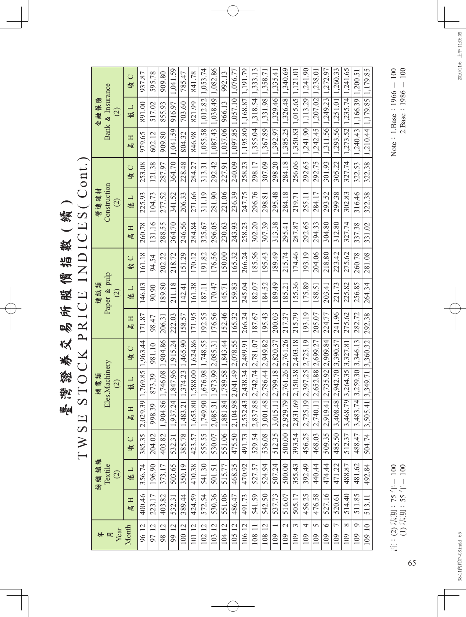**臺灣諮務及略医医氣描數(續)**<br>TWSE STOCK PRICE INDICES(Cont.) TWSE STOCK PRICE INDICES( Cont.) 臺灣證券交易所股價指數 **(** 續 **)**

|  |      |                                     | $\cup$<br>姕 | 937.87                     | 595.78            | 909.80            | 1.041.59                                      | 785.47            | 841.78                         |                                      |                            | 992.13                   |                                  | 1.191.79                         |                            |                                  |                                 |                                |                           |                                      |                                      | 1,272.97                  | 1.260.33                         |                                                                                                                                                  | 1,200.5                   |                                         |
|--|------|-------------------------------------|-------------|----------------------------|-------------------|-------------------|-----------------------------------------------|-------------------|--------------------------------|--------------------------------------|----------------------------|--------------------------|----------------------------------|----------------------------------|----------------------------|----------------------------------|---------------------------------|--------------------------------|---------------------------|--------------------------------------|--------------------------------------|---------------------------|----------------------------------|--------------------------------------------------------------------------------------------------------------------------------------------------|---------------------------|-----------------------------------------|
|  | 全融保險 | Bank & Insurance<br>$\odot$         | 低口          | 891.00                     | 517.02            | 855.93            | 916.97                                        | 703.60            | 821.99                         |                                      | 1,038.49   1,082.86        | 966.13                   |                                  |                                  |                            | 1,331.98 1,358.71                |                                 |                                | $1,015.65$   1,121.01     |                                      |                                      | 1,249.23                  |                                  |                                                                                                                                                  |                           |                                         |
|  |      |                                     | Η<br>峘      | 979.65                     | 602.12            | 909.80            | 1.041.59                                      | 804.32            | 846.98                         | $1.055.58$   $1.012.82$   $1.053.74$ | 1,087.43                   | 1,037.06                 | 1.097.85   1.057.10   1.076.77   | 1,195.80   1,168.87              | 1,355.04 1,318.54 1,333.13 | 1,367.89                         | $1,392.97$   1,329.46  1,335.41 | 1,385.25   1,326.48   1,340.69 | 1.350.83                  | $1,241,90$   $1,113,29$   $1,241,90$ | $1,242,45$   $1,207,02$   $1,238.01$ | 1,311.56                  | 1.293.56 1.251.01                |                                                                                                                                                  | $1,240.43$   1,166.39   1 | 322.38   1,210.44   1,179.85   1,179.85 |
|  |      |                                     | $\cup$<br>收 | 253.08                     | 121.38            | 287.97            | 364.70                                        | 228.48            | 284.27                         | 313.31                               | 292.42                     | 227.91                   | 240.09                           | 258.23                           | 298.17                     | 307.09                           | 298.20                          | 284.18                         | 256.06                    | 292.65                               | 292.75                               | 301.93                    | 305.22                           | 327.74                                                                                                                                           | 322.53                    |                                         |
|  | 營造建材 | Construction<br>$\odot$             | 低口          | 225.93                     | 104.73            | 277.52            | 341.52                                        | 206.33            | 271.66                         | 311.19                               | 281.90                     | 221.06                   | 236.39                           | 247.75                           | 296.76                     | 298.81                           | 295.48                          | 284.18                         | 219.71                    | 255.11                               | 284.17                               | 293.52                    | 299.38                           | 302.83                                                                                                                                           | 316.46                    | 322.38                                  |
|  |      |                                     | Η<br>個      | 260.78                     | 131.16            | 288.55            | 364.70                                        | 246.56            | 284.84                         | 325.67                               | 296.05                     | 230.63                   | 243.93                           | 258.23                           | 302.20                     | 307.39                           | 313.38                          | 295.41                         | 287.87                    | 292.65                               | 294.33                               | 304.80                    | 312.80                           | 327.74                                                                                                                                           | 337.38                    | 331.02                                  |
|  |      |                                     | $\cup$<br>收 | 161.18                     | 94.54             | 202.22            | 218.72                                        | 151.29            | 170.12                         | 191.82                               | 176.56                     | 150.00                   | 165.32                           | 266.24                           | 185.56                     | 195.43                           | 189.49                          | 215.74                         | 174.46                    | 193.19                               | 204.06                               | 218.80                    | 223.42                           | 275.62                                                                                                                                           | 260.78                    | 281.08                                  |
|  | 造紙類  | Paper & pulp<br>(2)                 | 低口          | 146.03                     | 90.90             | 189.80            | 211.18                                        | 142.41            | 161.38                         | 187.11                               | 170.47                     | 145.71                   | 159.83                           | 245.04                           | 182.07                     | 184.52                           | 189.49                          | 185.21                         | 155.36                    | 175.89                               | 188.51                               | 203.41                    | 221.73                           | 225.82                                                                                                                                           | 256.85                    | 264.34                                  |
|  |      |                                     | Η<br>個      | 171.87                     | 98.47             | 206.3             | 222.03                                        | 158.57            | 171.95                         | 192.55                               | 176.56                     | 152.46                   | 165.32                           | 266.24                           | 187.67                     | 195.43                           | 200.03                          | 217.37                         | 215.79                    | 193.19                               | 205.07                               | 224.77                    | 241.96                           | 275.62                                                                                                                                           | 282.72                    | 292.38                                  |
|  |      |                                     | $\cup$<br>收 |                            | 981.10            | 1.904.86          |                                               | 1,465.90          |                                |                                      |                            |                          |                                  |                                  |                            |                                  |                                 |                                |                           |                                      |                                      |                           |                                  | $1,273.52$   1,235.74   1,241.65<br>$74$   3,259.30  3,346.13<br>79 3.264.35 3.327.81<br>3,468.<br>512.37<br>488.87<br>514.40<br>$\infty$<br>109 |                           |                                         |
|  | 機電類  | Eles.Machinery<br>$\odot$           | 低工          |                            | 873.39            |                   |                                               |                   |                                |                                      |                            | 84   1,789.58   1,843.44 |                                  |                                  | 88 2,742.74 2,781.07       |                                  | $111$   2,799.18  2,820.37      | 79 2,761.26 2,761.26           | $69$   2,150.38  2,403.18 | 19 2.397.25 2.725.19                 | 11 2,652.88 2,699.27                 | $41$   2,735.92  2,909.84 |                                  |                                                                                                                                                  |                           |                                         |
|  |      |                                     | 口骨          | 2,029.39 1,769.85 1,963.44 | $\circ$<br>998.39 | 1,904.86 1,746.08 | $\left  1.937.24 \right $ 1.847.96   1.915.24 | 1,483.21 1,374.23 | 1,653.80   1,588.00   1,624.86 | 1.749.90 1.676.98 1.748.55           | 2,085.31 1,973.99 2,085.31 | 1,881.8                  | $2.104.98$   2.041.49   2.078.55 | $2,532.43$ $2,438.34$ $2,489.91$ | 2,837.8                    | $3,001.48$ $2,786.44$ $2,949.82$ | 3,015.                          | 2,929.                         | 2,831.                    | 2,725.                               | 2,740.                               | 2,919.                    | $3,408.48$   2,942.70   3,390.57 |                                                                                                                                                  | 3,483.                    | 504.74 3,505.41 3,349.71 3,360.32       |
|  |      |                                     | $\cup$<br>收 | 385.35                     | 204.02            | 403.82            | 532.31                                        | 385.78            | 423.57                         | 555.55                               | 530.07                     | 551.06                   | 475.50                           | 491.73                           | 529.54                     | 536.08                           | 512.35                          | 500.00                         | 393.54                    | 456.25                               | 468.03                               | 509.35                    | 485.50                           |                                                                                                                                                  | 488.47                    |                                         |
|  | 紡織纖維 | Textile<br>$\widehat{\mathfrak{O}}$ | 低工          | 356.74                     | 196.90            | 373.17            | 503.65                                        | 350.19            | 410.38                         | 541.30                               | 501.51                     | 515.77                   | 468.35                           | 470.92                           | 527.57                     | 524.94                           | 507.24                          | 500.00                         | 355.43                    | 392.49                               | 440.44                               | 474.44                    | 471.22                           |                                                                                                                                                  | 481.62                    | 492.84                                  |
|  |      |                                     | H<br>峘      | 400.46                     | 223.17            | 403.82            | 532.31                                        | 389.44            | 424.59                         | 572.54                               | 530.36                     | 551.06                   | 486.47                           | 491.73                           | 541.59                     | 542.50                           | 537.73                          | 516.07                         | 505.17                    | 456.25                               | 476.58                               | 527.16                    | 520.61                           |                                                                                                                                                  | 511.85                    | 513.11                                  |
|  | 年月   | Year                                | Month       | 96 12                      | 12<br>97          | 98 12             | 99 12                                         | 100 12            | $\overline{2}$<br>101          | 102 12                               | 103 12                     | 10412                    | 10512                            | 106 12                           | 108                        | 108 12                           | 109                             | $\mathcal{L}$<br>109           | 3<br>109                  | 4<br>109                             | 5<br>109                             | $\circ$<br>109            | $\overline{C}$<br>109            |                                                                                                                                                  | $\circ$<br>109            | 109 10                                  |

Note: 1.Base:  $1966 = 100$ <br>2.Base:  $1986 = 100$ Note:  $1.$ Base:  $1966 = 100$  $2.Base:1986 = 100$ 

註:(2) 基期:75 年= 100<br>(1) 基期:55 年= 100 註:(2) 基期:75 年= 100 (1) 基期:55 年= 100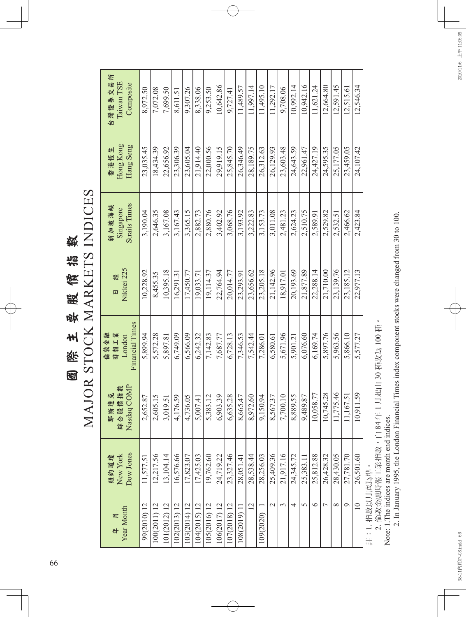MAJOR STOCK MARKETS INDICES MAJOR STOCK MARKETS INDICES 國際主要股價指數 國際主要股價指數

| 声<br>台灣證券交易<br>Taiwan TSE<br>Composite           | 8.972.50    | 7.072.08     | 7.699.50     | 8.611.51     | 9.307.26     | 8.338.06     | 9.253.50     | 10.642.86    | 9,727.41     | 11,489.57    | 11.997.14      | 11.495.10 | 11.292.17                | 9,708.06       | 10.992.14 | 10.942.16 | 11.621.24 | 12.664.80 | 12.591.45     | 12.515.61 | 12.546.34   |
|--------------------------------------------------|-------------|--------------|--------------|--------------|--------------|--------------|--------------|--------------|--------------|--------------|----------------|-----------|--------------------------|----------------|-----------|-----------|-----------|-----------|---------------|-----------|-------------|
| Hong Kong<br>Hang Seng<br>香港恆生                   | 23,035.45   | 18.434.39    | 22,656.92    | 23,306.39    | 23,605.04    | 21.914.40    | 22.000.56    | 29,919.15    | 25,845.70    | 26.346.49    | 28.189.75      | 26.312.63 | 26,129.93                | 23,603.48      | 24,643.59 | 22,961.47 | 24,427.19 | 24,595.35 | 25,177.05     | 23,459.05 | 24,107.42   |
| <b>Straits Times</b><br>新加坡海峽<br>Singapore       | 3.190.04    | 2.646.35     | 3,167.08     | 3.167.43     | 3.365.15     | 2,882.73     | 2,880.76     | 3,402.92     | 3,068.76     | 3,193.92     | 3.222.83       | 3,153.73  | 3,011.08                 | 2,481.23       | 2,624.23  | 2,510.75  | 2,589.91  | 2.529.82  | 2,532.51      | 2,466.62  | 2,423.84    |
| Nikkei 225<br>日                                  | 10.228.92   | 8.455.35     | 10.395.18    | 16.291.31    | 17,450.77    | 19.033.71    | 19,114.37    | 22.764.94    | 20.014.77    | 23.293.91    | 23,656.62      | 23,205.18 | 21,142.96                | 18.917.01      | 20,193.69 | 21,877.89 | 22.288.14 | 21,710.00 | 23,139.76     | 23,185.12 | 22.977.13   |
| <b>Financial Times</b><br>倫敦金融<br>時報工業<br>London | 5.899.94    | 5.572.28     | 5,897.81     | 6,749.09     | 6,566.09     | 6.242.32     | 7.142.83     | 7,687.77     | 6.728.13     | 7,346.53     | 7.542.44       | 7,286.01  | 6,580.61                 | 5,671.96       | 5,901.21  | 6,076.60  | 6,169.74  | 5,897.76  | 5,963.56      | 5,866.10  | 5,577.27    |
| Nasdaq COMP<br>. [價指數<br>達克<br>那斯<br>綜合股         | 2,652.87    | 2,605.15     | 3,019.51     | 4,176.59     | 4,736.05     | 5,007.41     | 5,383.12     | 6,903.39     | 6,635.28     | 8,665.47     | 8,972.60       | 9,150.94  | 8,567.37                 | 7,700.10       | 8,889.55  | 9,489.87  | 10,058.77 | 10,745.28 | 75.46<br>11,7 | 67.51     | 10,911.59   |
| Dow Jones<br>New York<br>紐約道瓊                    | 11,577.51   | 12,217.56    | 13,104.14    | 16,576.66    | 17,823.07    | 17,425.03    | 19,762.60    | 24,719.22    | 23,327.46    | 28,051.41    | 28,538.44      | 28,256.03 | 25,409.36                | 21,917.16      | 24,345.72 | 25,383.11 | 25,812.88 | 26,428.32 | 28,430.05     | 27,781.70 | 26,501.60   |
| Year Month<br>回<br>#                             | 99(2010) 12 | 100(2011) 12 | 101(2012) 12 | 102(2013) 12 | 103(2014) 12 | 104(2015) 12 | 105(2016) 12 | 106(2017) 12 | 107(2018) 12 | 108(2019) 17 | $\overline{2}$ | 109(2020) | $\overline{\mathcal{C}}$ | $\mathfrak{g}$ | 4         | $\Omega$  | $\circ$   |           | $\infty$      | Ó         | $\supseteq$ |

註:1. 指數以月底為準。

2. 倫敦金融時報工業指數,自 84 年 1 月起由 30 種改為 100 種。

Note: 1.The indices are month end indices.

註:1. 指數以月底為準。<br>2. 倫敦金融時報工業指數,自 84 年 1 月起由 30 種改為 100 種。<br>Note: 1.The indices are month end indices.<br>2. In January 1995, the London Financial Times index component stocks were changed from 30 to 100. 2. In January 1995, the London Financial Times index component stocks were changed from 30 to 100.